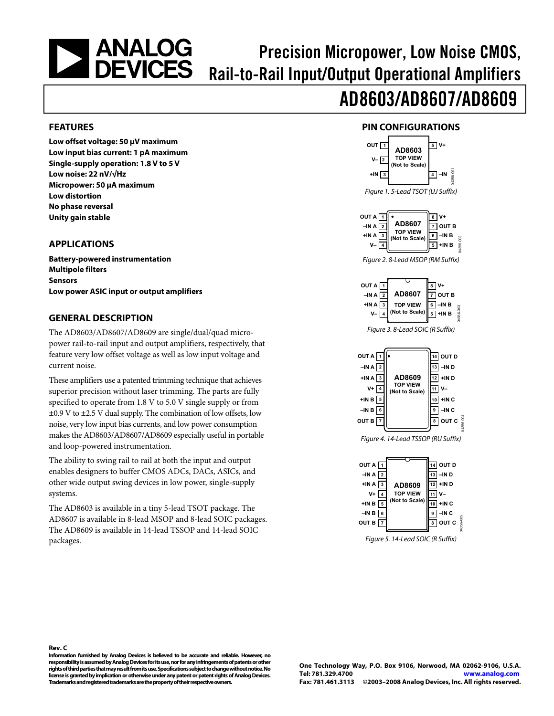# <span id="page-0-0"></span>**ANALOG<br>DEVICES**

# Precision Micropower, Low Noise CMOS, Rail-to-Rail Input/Output Operational Amplifiers

# AD8603/AD8607/AD8609

#### **FEATURES**

**Low offset voltage: 50 μV maximum Low input bias current: 1 pA maximum Single-supply operation: 1.8 V to 5 V Low noise: 22 nV/√Hz Micropower: 50 μA maximum Low distortion No phase reversal Unity gain stable** 

#### **APPLICATIONS**

**Battery-powered instrumentation Multipole filters Sensors Low power ASIC input or output amplifiers** 

#### **GENERAL DESCRIPTION**

The AD8603/AD8607/AD8609 are single/dual/quad micropower rail-to-rail input and output amplifiers, respectively, that feature very low offset voltage as well as low input voltage and current noise.

These amplifiers use a patented trimming technique that achieves superior precision without laser trimming. The parts are fully specified to operate from 1.8 V to 5.0 V single supply or from ±0.9 V to ±2.5 V dual supply. The combination of low offsets, low noise, very low input bias currents, and low power consumption makes the AD8603/AD8607/AD8609 especially useful in portable and loop-powered instrumentation.

The ability to swing rail to rail at both the input and output enables designers to buffer CMOS ADCs, DACs, ASICs, and other wide output swing devices in low power, single-supply systems.

The AD8603 is available in a tiny 5-lead TSOT package. The AD8607 is available in 8-lead MSOP and 8-lead SOIC packages. The AD8609 is available in 14-lead TSSOP and 14-lead SOIC packages.

#### **PIN CONFIGURATIONS**





Figure 5. 14-Lead SOIC (R Suffix)

**Rev. C Information furnished by Analog Devices is believed to be accurate and reliable. However, no responsibility is assumed by Analog Devices for its use, nor for any infringements of patents or other rights of third parties that may result from its use. Specifications subject to change without notice. No license is granted by implication or otherwise under any patent or patent rights of Analog Devices. Trademarks and registered trademarks are the property of their respective owners.** 

**One Technology Way, P.O. Box 9106, Norwood, MA 02062-9106, U.S.A. Tel: 781.329.4700 www.analog.com Fax: 781.461.3113 ©2003–2008 Analog Devices, Inc. All rights reserved.**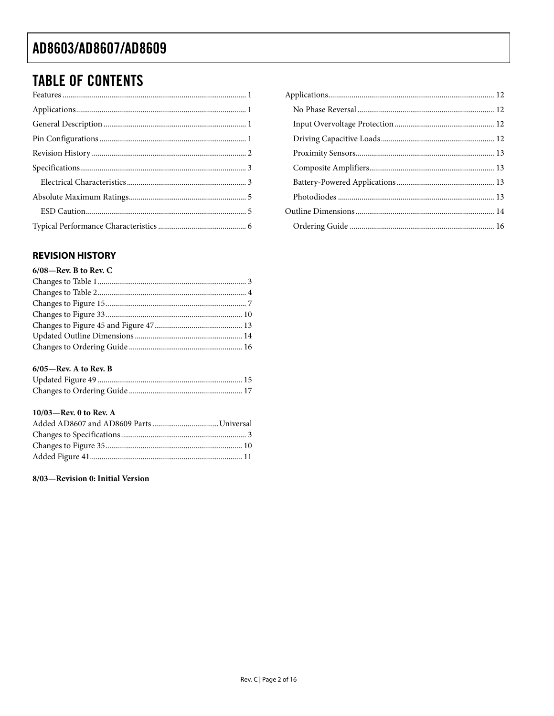# <span id="page-1-0"></span>**TABLE OF CONTENTS**

| ${\bf Features}\, \, {1} \label{eq:21}$ |  |
|-----------------------------------------|--|
|                                         |  |
|                                         |  |
|                                         |  |
|                                         |  |
|                                         |  |
|                                         |  |
|                                         |  |
|                                         |  |
|                                         |  |

#### **REVISION HISTORY**

| $6/08$ —Rev. B to Rev. C |  |
|--------------------------|--|
|                          |  |
|                          |  |
|                          |  |
|                          |  |
|                          |  |
|                          |  |
|                          |  |
|                          |  |

#### $6/05$ —Rev. A to Rev. B

#### 10/03-Rev. 0 to Rev. A

8/03-Revision 0: Initial Version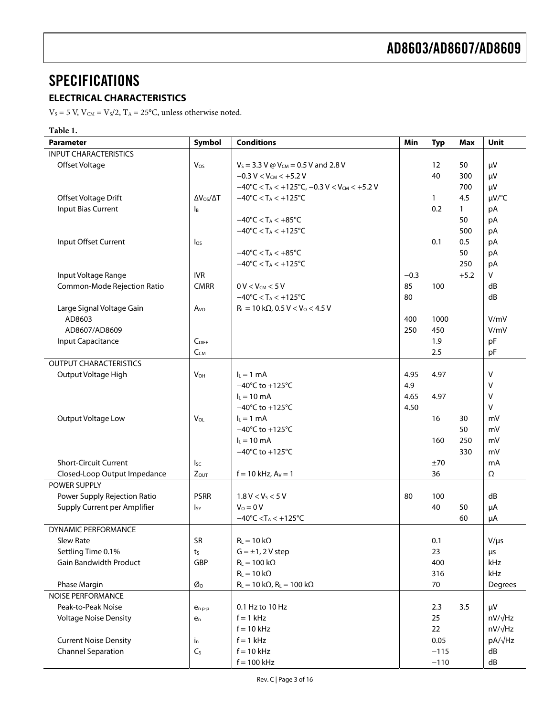# <span id="page-2-0"></span>**SPECIFICATIONS**

#### **ELECTRICAL CHARACTERISTICS**

 $V_s = 5$  V,  $V_{CM} = V_s/2$ ,  $T_A = 25$ °C, unless otherwise noted.

#### **Table 1.**

| <b>Parameter</b>              | Symbol                   | <b>Conditions</b>                                                                       | Min    | <b>Typ</b> | <b>Max</b>   | Unit      |
|-------------------------------|--------------------------|-----------------------------------------------------------------------------------------|--------|------------|--------------|-----------|
| <b>INPUT CHARACTERISTICS</b>  |                          |                                                                                         |        |            |              |           |
| Offset Voltage                | Vos                      | $V_s = 3.3$ V @ V <sub>CM</sub> = 0.5 V and 2.8 V                                       |        | 12         | 50           | μV        |
|                               |                          | $-0.3 V < V_{CM} < +5.2 V$                                                              |        | 40         | 300          | μV        |
|                               |                          | $-40^{\circ}$ C < T <sub>A</sub> < +125 $^{\circ}$ C, -0.3 V < V <sub>CM</sub> < +5.2 V |        |            | 700          | μV        |
| Offset Voltage Drift          | $\Delta V_{OS}/\Delta T$ | $-40^{\circ}$ C < T <sub>A</sub> < $+125^{\circ}$ C                                     |        | 1          | 4.5          | µV/°C     |
| <b>Input Bias Current</b>     | <b>I</b> <sub>B</sub>    |                                                                                         |        | 0.2        | $\mathbf{1}$ | pA        |
|                               |                          | $-40^{\circ}$ C < T <sub>A</sub> < $+85^{\circ}$ C                                      |        |            | 50           | pA        |
|                               |                          | $-40^{\circ}$ C < T <sub>A</sub> < $+125^{\circ}$ C                                     |        |            | 500          | pA        |
| Input Offset Current          | $\log$                   |                                                                                         |        | 0.1        | 0.5          | pA        |
|                               |                          | $-40^{\circ}$ C < T <sub>A</sub> < $+85^{\circ}$ C                                      |        |            | 50           | pA        |
|                               |                          | $-40^{\circ}$ C < T <sub>A</sub> < $+125^{\circ}$ C                                     |        |            | 250          | pA        |
| Input Voltage Range           | <b>IVR</b>               |                                                                                         | $-0.3$ |            | $+5.2$       | V         |
| Common-Mode Rejection Ratio   | <b>CMRR</b>              | $0 V < V_{CM} < 5 V$                                                                    | 85     | 100        |              | dB        |
|                               |                          | $-40^{\circ}$ C < T <sub>A</sub> < $+125^{\circ}$ C                                     | 80     |            |              | dB        |
| Large Signal Voltage Gain     | Avo                      | $R_L = 10 k\Omega$ , 0.5 V < V <sub>o</sub> < 4.5 V                                     |        |            |              |           |
| AD8603                        |                          |                                                                                         | 400    | 1000       |              | V/mV      |
| AD8607/AD8609                 |                          |                                                                                         | 250    | 450        |              | V/mV      |
| Input Capacitance             | $C_{\text{DIFF}}$        |                                                                                         |        | 1.9        |              | pF        |
|                               | $C_{CM}$                 |                                                                                         |        | 2.5        |              | pF        |
| <b>OUTPUT CHARACTERISTICS</b> |                          |                                                                                         |        |            |              |           |
| Output Voltage High           | <b>V<sub>OH</sub></b>    | $L = 1$ mA                                                                              | 4.95   | 4.97       |              | v         |
|                               |                          | $-40^{\circ}$ C to +125 $^{\circ}$ C                                                    | 4.9    |            |              | v         |
|                               |                          | $L = 10$ mA                                                                             | 4.65   | 4.97       |              | v         |
|                               |                          | $-40^{\circ}$ C to +125 $^{\circ}$ C                                                    | 4.50   |            |              | v         |
| Output Voltage Low            | <b>V<sub>OL</sub></b>    | $I_L = 1$ mA                                                                            |        | 16         | 30           | mV        |
|                               |                          | $-40^{\circ}$ C to +125 $^{\circ}$ C                                                    |        |            | 50           | mV        |
|                               |                          | $I_L = 10$ mA                                                                           |        | 160        | 250          | mV        |
|                               |                          | $-40^{\circ}$ C to +125 $^{\circ}$ C                                                    |        |            | 330          | mV        |
| <b>Short-Circuit Current</b>  | $I_{SC}$                 |                                                                                         |        | ±70        |              | mA        |
| Closed-Loop Output Impedance  | Zout                     | $f = 10$ kHz, $A_V = 1$                                                                 |        | 36         |              | Ω         |
| POWER SUPPLY                  |                          |                                                                                         |        |            |              |           |
| Power Supply Rejection Ratio  | <b>PSRR</b>              | 1.8 V < V <sub>S</sub> < 5 V                                                            | 80     | 100        |              | dB        |
| Supply Current per Amplifier  | $I_{SY}$                 | $V_0 = 0 V$                                                                             |        | 40         | 50           | μA        |
|                               |                          | $-40^{\circ}$ C <t<sub>A &lt; <math>+125^{\circ}</math>C</t<sub>                        |        |            | 60           | μA        |
| DYNAMIC PERFORMANCE           |                          |                                                                                         |        |            |              |           |
| Slew Rate                     | <b>SR</b>                | $R_L = 10 k\Omega$                                                                      |        | 0.1        |              | $V/\mu s$ |
| Settling Time 0.1%            | ts                       | $G = \pm 1$ , 2 V step                                                                  |        | 23         |              | μs        |
| <b>Gain Bandwidth Product</b> | GBP                      | $R_L = 100 k\Omega$                                                                     |        | 400        |              | kHz       |
|                               |                          | $R_L = 10 k\Omega$                                                                      |        | 316        |              | kHz       |
| Phase Margin                  | Øo                       | $R_L = 10 k\Omega$ , $R_L = 100 k\Omega$                                                |        | 70         |              | Degrees   |
| <b>NOISE PERFORMANCE</b>      |                          |                                                                                         |        |            |              |           |
| Peak-to-Peak Noise            | $e_{n,p-p}$              | 0.1 Hz to 10 Hz                                                                         |        | 2.3        | 3.5          | μV        |
| <b>Voltage Noise Density</b>  | e <sub>n</sub>           | $f = 1$ kHz                                                                             |        | 25         |              | nV/√Hz    |
|                               |                          | $f = 10$ kHz                                                                            |        | 22         |              | nV/√Hz    |
| <b>Current Noise Density</b>  | İn.                      | $f = 1$ kHz                                                                             |        | 0.05       |              | pA/√Hz    |
| <b>Channel Separation</b>     | C <sub>S</sub>           | $f = 10$ kHz                                                                            |        | $-115$     |              | dB        |
|                               |                          | $f = 100$ kHz                                                                           |        | $-110$     |              | dB        |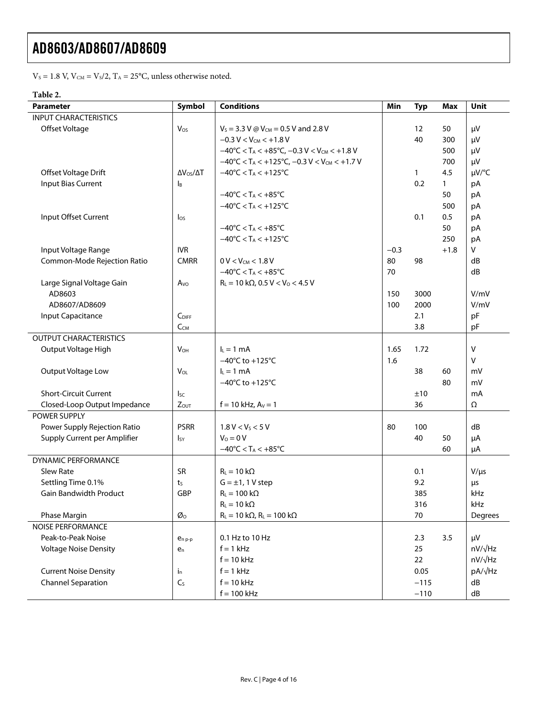$V_s = 1.8$  V,  $V_{\text{CM}} = V_s/2$ ,  $T_A = 25$ °C, unless otherwise noted.

#### **Table 2.**

| <b>Parameter</b>              | Symbol                    | <b>Conditions</b>                                                                         | Min    | <b>Typ</b> | <b>Max</b> | Unit           |
|-------------------------------|---------------------------|-------------------------------------------------------------------------------------------|--------|------------|------------|----------------|
| <b>INPUT CHARACTERISTICS</b>  |                           |                                                                                           |        |            |            |                |
| Offset Voltage                | Vos                       | $V_s = 3.3$ V @ V <sub>CM</sub> = 0.5 V and 2.8 V                                         |        | 12         | 50         | μV             |
|                               |                           | $-0.3 V < V_{CM} < +1.8 V$                                                                |        | 40         | 300        | μV             |
|                               |                           | $-40^{\circ}$ C < T <sub>A</sub> < $+85^{\circ}$ C, $-0.3$ V < V <sub>CM</sub> < $+1.8$ V |        |            | 500        | μV             |
|                               |                           | $-40^{\circ}$ C < T <sub>A</sub> < +125 $^{\circ}$ C, -0.3 V < V <sub>CM</sub> < +1.7 V   |        |            | 700        | μV             |
| Offset Voltage Drift          | $\Delta V_{OS}/\Delta T$  | $-40^{\circ}$ C < T <sub>A</sub> < $+125^{\circ}$ C                                       |        | 1          | 4.5        | µV/°C          |
| <b>Input Bias Current</b>     | $\mathsf{I}_{\mathsf{B}}$ |                                                                                           |        | 0.2        | 1          | pA             |
|                               |                           | $-40^{\circ}$ C < T <sub>A</sub> < $+85^{\circ}$ C                                        |        |            | 50         | pA             |
|                               |                           | $-40^{\circ}$ C < T <sub>A</sub> < $+125^{\circ}$ C                                       |        |            | 500        | pA             |
| Input Offset Current          | $\log$                    |                                                                                           |        | 0.1        | 0.5        | pA             |
|                               |                           | $-40^{\circ}$ C < T <sub>A</sub> < $+85^{\circ}$ C                                        |        |            | 50         | pA             |
|                               |                           | $-40^{\circ}$ C < T <sub>A</sub> < $+125^{\circ}$ C                                       |        |            | 250        | рA             |
| Input Voltage Range           | <b>IVR</b>                |                                                                                           | $-0.3$ |            | $+1.8$     | V              |
| Common-Mode Rejection Ratio   | <b>CMRR</b>               | $0 V < V_{CM} < 1.8 V$                                                                    | 80     | 98         |            | dB             |
|                               |                           | $-40^{\circ}$ C < T <sub>A</sub> < $+85^{\circ}$ C                                        | 70     |            |            | dB             |
| Large Signal Voltage Gain     | Avo                       | $R_L = 10 k\Omega$ , 0.5 V < V <sub>o</sub> < 4.5 V                                       |        |            |            |                |
| AD8603                        |                           |                                                                                           | 150    | 3000       |            | V/mV           |
| AD8607/AD8609                 |                           |                                                                                           | 100    | 2000       |            | V/mV           |
| Input Capacitance             | CDIFF                     |                                                                                           |        | 2.1        |            | pF             |
|                               | $C_{CM}$                  |                                                                                           |        | 3.8        |            | pF             |
| <b>OUTPUT CHARACTERISTICS</b> |                           |                                                                                           |        |            |            |                |
| Output Voltage High           | <b>V<sub>OH</sub></b>     | $I_L = 1$ mA                                                                              | 1.65   | 1.72       |            | $\vee$         |
|                               |                           | $-40^{\circ}$ C to +125 $^{\circ}$ C                                                      | 1.6    |            |            | V              |
| Output Voltage Low            | VOL                       | $L = 1$ mA                                                                                |        | 38         | 60         | mV             |
|                               |                           | $-40^{\circ}$ C to +125 $^{\circ}$ C                                                      |        |            | 80         | mV             |
| <b>Short-Circuit Current</b>  | <sub>Sc</sub>             |                                                                                           |        | ±10        |            | mA             |
| Closed-Loop Output Impedance  | $Z_{OUT}$                 | $f = 10$ kHz, $A_V = 1$                                                                   |        | 36         |            | Ω              |
| POWER SUPPLY                  |                           |                                                                                           |        |            |            |                |
| Power Supply Rejection Ratio  | <b>PSRR</b>               | 1.8 V < V <sub>S</sub> < 5 V                                                              | 80     | 100        |            | dB             |
| Supply Current per Amplifier  | <b>I</b> <sub>SY</sub>    | $V_0 = 0 V$                                                                               |        | 40         | 50         | μA             |
|                               |                           | $-40^{\circ}$ C < T <sub>A</sub> < $+85^{\circ}$ C                                        |        |            | 60         | μA             |
| DYNAMIC PERFORMANCE           |                           |                                                                                           |        |            |            |                |
| Slew Rate                     | <b>SR</b>                 | $R_L = 10 k\Omega$                                                                        |        | 0.1        |            | $V/\mu s$      |
| Settling Time 0.1%            | $t_{S}$                   | $G = \pm 1$ , 1 V step                                                                    |        | 9.2        |            | μs             |
| <b>Gain Bandwidth Product</b> | GBP                       | $R_L = 100 k\Omega$                                                                       |        | 385        |            | kHz            |
|                               |                           | $R_L = 10 k\Omega$                                                                        |        | 316        |            | kHz            |
| Phase Margin                  | Øo                        | $R_L = 10 k\Omega$ , $R_L = 100 k\Omega$                                                  |        | 70         |            | Degrees        |
| <b>NOISE PERFORMANCE</b>      |                           |                                                                                           |        |            |            |                |
| Peak-to-Peak Noise            | $e_{n,p-p}$               | 0.1 Hz to 10 Hz                                                                           |        | 2.3        | 3.5        | μV             |
| <b>Voltage Noise Density</b>  | $e_n$                     | $f = 1$ kHz                                                                               |        | 25         |            | nV/√Hz         |
|                               |                           | $f = 10$ kHz                                                                              |        | 22         |            | $nV/\sqrt{Hz}$ |
| <b>Current Noise Density</b>  | $i_{n}$                   | $f = 1$ kHz                                                                               |        | 0.05       |            | pA/√Hz         |
| <b>Channel Separation</b>     | $C_{S}$                   | $f = 10$ kHz                                                                              |        | $-115$     |            | dB             |
|                               |                           | $f = 100$ kHz                                                                             |        | $-110$     |            | ${\sf dB}$     |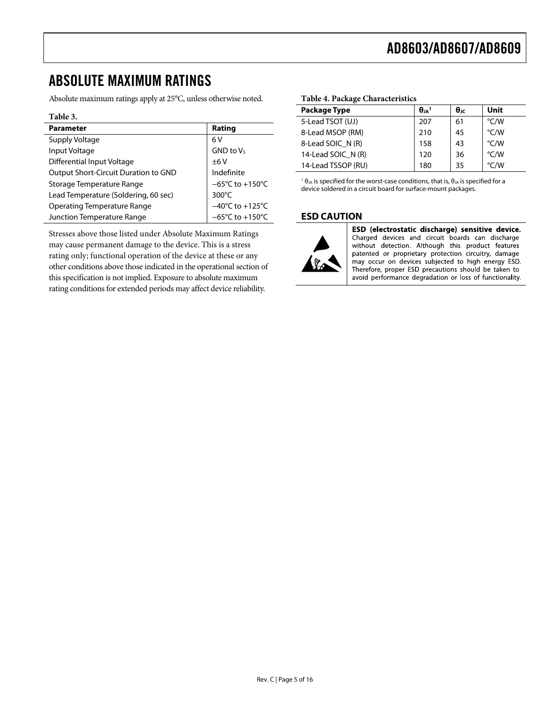# <span id="page-4-0"></span>ABSOLUTE MAXIMUM RATINGS

Absolute maximum ratings apply at 25°C, unless otherwise noted.

#### **Table 3.**

| <b>Parameter</b>                     | Rating                               |
|--------------------------------------|--------------------------------------|
| Supply Voltage                       | 6V                                   |
| Input Voltage                        | $GND$ to $V_S$                       |
| Differential Input Voltage           | ±6V                                  |
| Output Short-Circuit Duration to GND | Indefinite                           |
| Storage Temperature Range            | $-65^{\circ}$ C to +150 $^{\circ}$ C |
| Lead Temperature (Soldering, 60 sec) | $300^{\circ}$ C                      |
| <b>Operating Temperature Range</b>   | $-40^{\circ}$ C to $+125^{\circ}$ C  |
| Junction Temperature Range           | $-65^{\circ}$ C to +150 $^{\circ}$ C |

Stresses above those listed under Absolute Maximum Ratings may cause permanent damage to the device. This is a stress rating only; functional operation of the device at these or any other conditions above those indicated in the operational section of this specification is not implied. Exposure to absolute maximum rating conditions for extended periods may affect device reliability.

#### **Table 4. Package Characteristics**

| <b>Package Type</b> | $\theta_{IA}$ <sup>1</sup> | $\theta_{\rm JC}$ | Unit |
|---------------------|----------------------------|-------------------|------|
| 5-Lead TSOT (UJ)    | 207                        | 61                | °C/W |
| 8-Lead MSOP (RM)    | 210                        | 45                | °C/W |
| 8-Lead SOIC N (R)   | 158                        | 43                | °C/W |
| 14-Lead SOIC N (R)  | 120                        | 36                | °C/W |
| 14-Lead TSSOP (RU)  | 180                        | 35                | °C/W |

<sup>1</sup>  $\theta$ <sub>JA</sub> is specified for the worst-case conditions, that is,  $\theta$ <sub>JA</sub> is specified for a device soldered in a circuit board for surface-mount packages.

#### **ESD CAUTION**



ESD (electrostatic discharge) sensitive device. Charged devices and circuit boards can discharge without detection. Although this product features patented or proprietary protection circuitry, damage may occur on devices subjected to high energy ESD. Therefore, proper ESD precautions should be taken to avoid performance degradation or loss of functionality.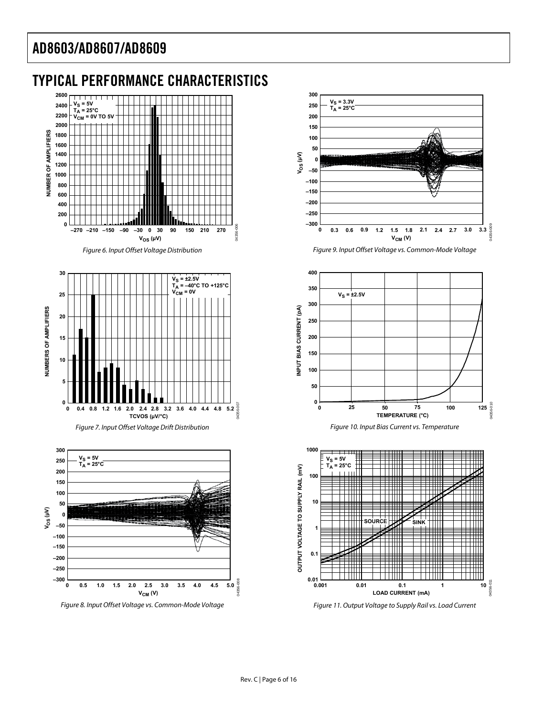# <span id="page-5-0"></span>TYPICAL PERFORMANCE CHARACTERISTICS













Figure 9. Input Offset Voltage vs. Common-Mode Voltage







Figure 11. Output Voltage to Supply Rail vs. Load Current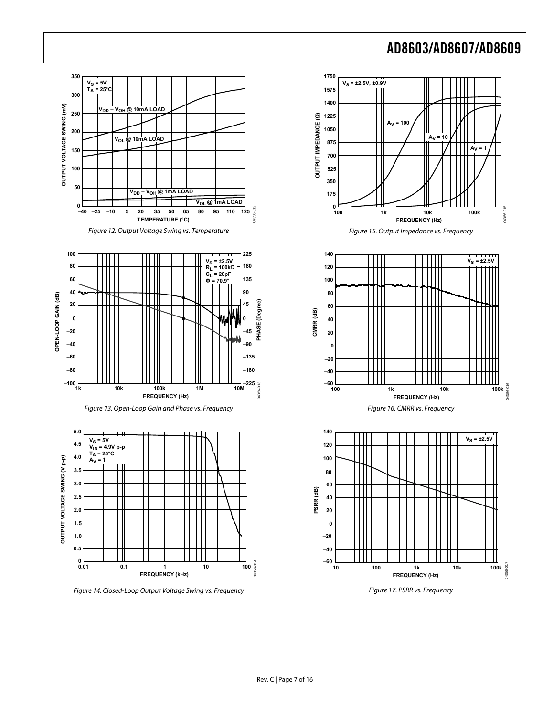















Figure 14. Closed-Loop Output Voltage Swing vs. Frequency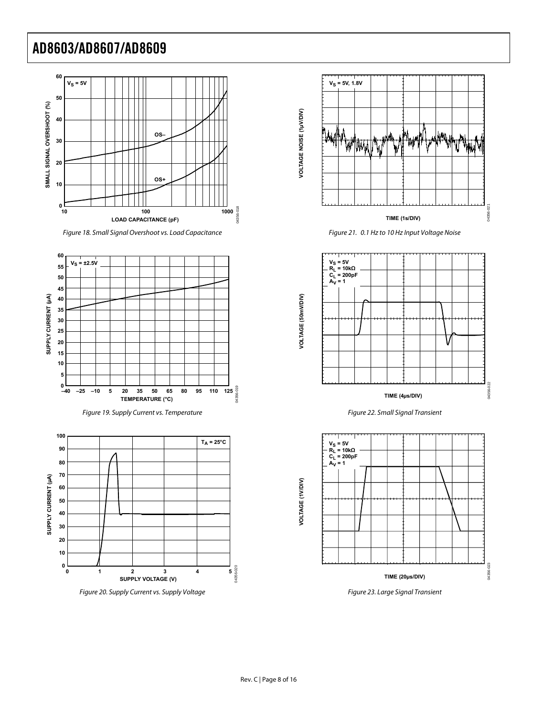

Figure 18. Small Signal Overshoot vs. Load Capacitance







Figure 21. 0.1 Hz to 10 Hz Input Voltage Noise



Figure 22. Small Signal Transient



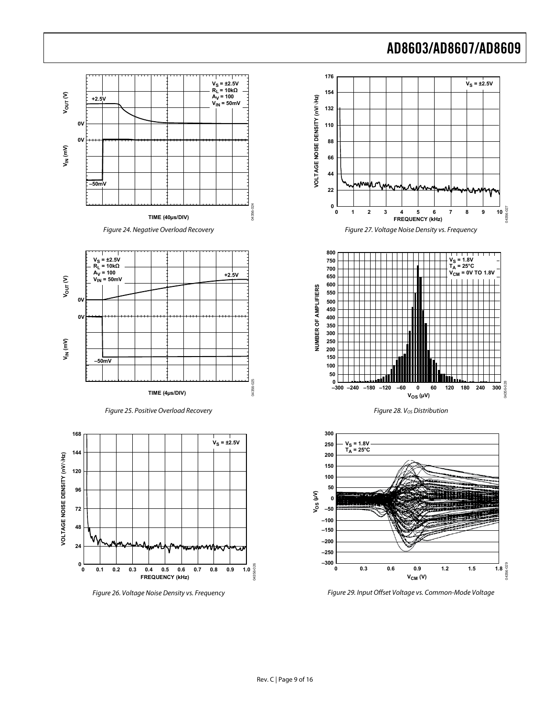



Figure 29. Input Offset Voltage vs. Common-Mode Voltage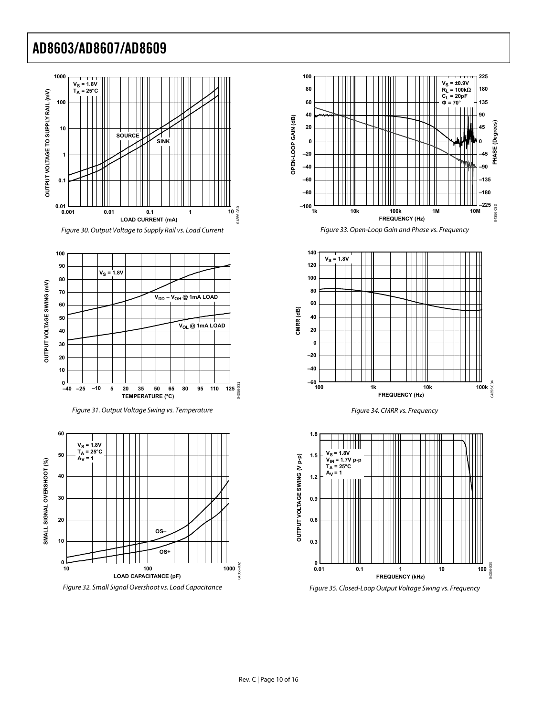



















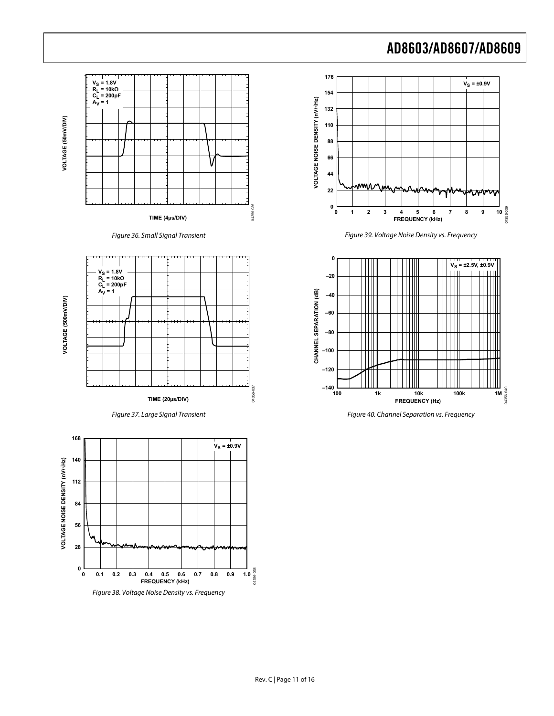



Figure 36. Small Signal Transient









Figure 39. Voltage Noise Density vs. Frequency



Figure 40. Channel Separation vs. Frequency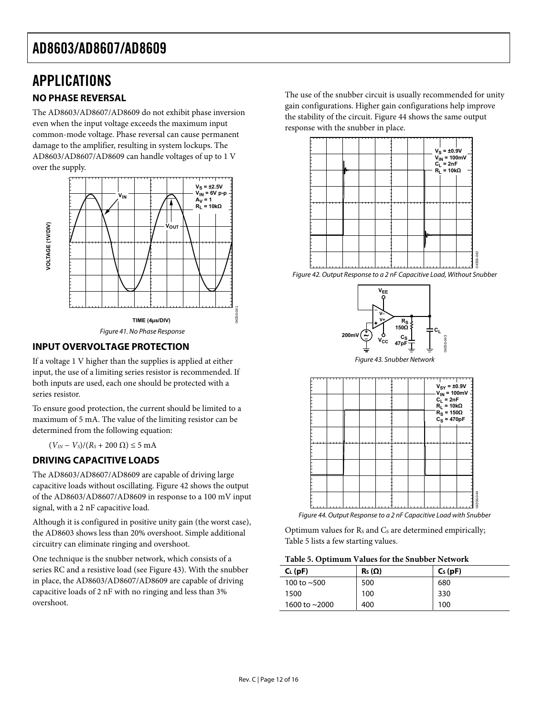## <span id="page-11-0"></span>APPLICATIONS

#### **NO PHASE REVERSAL**

The AD8603/AD8607/AD8609 do not exhibit phase inversion even when the input voltage exceeds the maximum input common-mode voltage. Phase reversal can cause permanent damage to the amplifier, resulting in system lockups. The AD8603/AD8607/AD8609 can handle voltages of up to 1 V over the supply.



#### <span id="page-11-1"></span>**INPUT OVERVOLTAGE PROTECTION**

<span id="page-11-2"></span>If a voltage 1 V higher than the supplies is applied at either input, the use of a limiting series resistor is recommended. If both inputs are used, each one should be protected with a series resistor.

To ensure good protection, the current should be limited to a maximum of 5 mA. The value of the limiting resistor can be determined from the following equation:

 $(V_{IN} - V_s)/(R_s + 200 Ω) ≤ 5 mA$ 

#### **DRIVING CAPACITIVE LOADS**

The AD8603/AD8607/AD8609 are capable of driving large capacitive loads without oscillating. [Figure 42](#page-11-1) shows the output of the AD8603/AD8607/AD8609 in response to a 100 mV input signal, with a 2 nF capacitive load.

<span id="page-11-3"></span>Although it is configured in positive unity gain (the worst case), the AD8603 shows less than 20% overshoot. Simple additional circuitry can eliminate ringing and overshoot.

<span id="page-11-4"></span>One technique is the snubber network, which consists of a series RC and a resistive load (see [Figure 43](#page-11-2)). With the snubber in place, the AD8603/AD8607/AD8609 are capable of driving capacitive loads of 2 nF with no ringing and less than 3% overshoot.

The use of the snubber circuit is usually recommended for unity gain configurations. Higher gain configurations help improve the stability of the circuit. [Figure 44](#page-11-3) shows the same output response with the snubber in place.



Figure 42. Output Response to a 2 nF Capacitive Load, Without Snubber



Figure 43. Snubber Network



Figure 44. Output Response to a 2 nF Capacitive Load with Snubber

Optimum values for Rs and Cs are determined empirically; [Table 5](#page-11-4) lists a few starting values.

| Table 5. Optimum Values for the Snubber Network |  |  |  |
|-------------------------------------------------|--|--|--|
|-------------------------------------------------|--|--|--|

| $C_{L}$ (pF)        | $\mathsf{R}_{\mathsf{S}}\left(\Omega\right)$ | $C_S$ (pF) |
|---------------------|----------------------------------------------|------------|
| 100 to $~500$       | 500                                          | 680        |
| 1500                | 100                                          | 330        |
| 1600 to $\sim$ 2000 | 400                                          | 100        |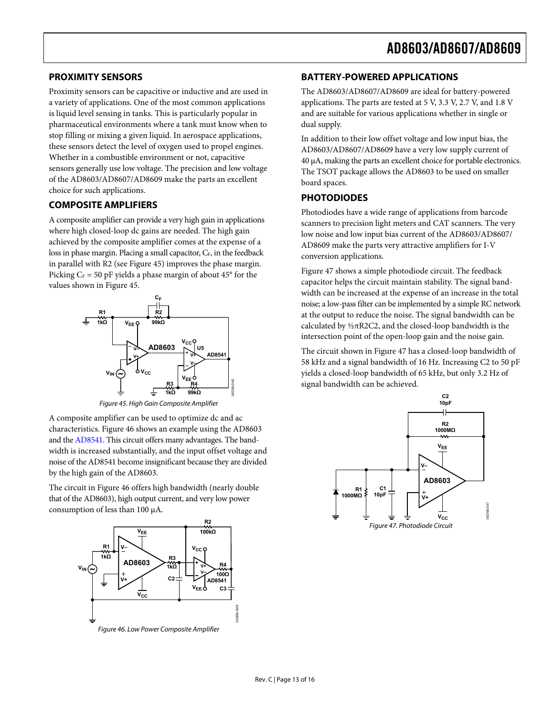#### <span id="page-12-0"></span>**PROXIMITY SENSORS**

Proximity sensors can be capacitive or inductive and are used in a variety of applications. One of the most common applications is liquid level sensing in tanks. This is particularly popular in pharmaceutical environments where a tank must know when to stop filling or mixing a given liquid. In aerospace applications, these sensors detect the level of oxygen used to propel engines. Whether in a combustible environment or not, capacitive sensors generally use low voltage. The precision and low voltage of the AD8603/AD8607/AD8609 make the parts an excellent choice for such applications.

#### **COMPOSITE AMPLIFIERS**

A composite amplifier can provide a very high gain in applications where high closed-loop dc gains are needed. The high gain achieved by the composite amplifier comes at the expense of a loss in phase margin. Placing a small capacitor, C<sub>F</sub>, in the feedback in parallel with R2 (see [Figure 45](#page-12-1)) improves the phase margin. Picking  $C_F$  = 50 pF yields a phase margin of about 45 $\degree$  for the values shown in [Figure 45](#page-12-1).



Figure 45. High Gain Composite Amplifier

<span id="page-12-1"></span>A composite amplifier can be used to optimize dc and ac characteristics. [Figure 46](#page-12-2) shows an example using the AD8603 and the [AD8541.](http://www.analog.com/AD8541) This circuit offers many advantages. The bandwidth is increased substantially, and the input offset voltage and noise of the [AD8541](http://www.analog.com/AD8541) become insignificant because they are divided by the high gain of the AD8603.

<span id="page-12-3"></span>The circuit in [Figure 46](#page-12-2) offers high bandwidth (nearly double that of the AD8603), high output current, and very low power consumption of less than 100 μA.



<span id="page-12-2"></span>Figure 46. Low Power Composite Amplifier

#### **BATTERY-POWERED APPLICATIONS**

The AD8603/AD8607/AD8609 are ideal for battery-powered applications. The parts are tested at 5 V, 3.3 V, 2.7 V, and 1.8 V and are suitable for various applications whether in single or dual supply.

In addition to their low offset voltage and low input bias, the AD8603/AD8607/AD8609 have a very low supply current of 40 μA, making the parts an excellent choice for portable electronics. The TSOT package allows the AD8603 to be used on smaller board spaces.

#### **PHOTODIODES**

Photodiodes have a wide range of applications from barcode scanners to precision light meters and CAT scanners. The very low noise and low input bias current of the AD8603/AD8607/ AD8609 make the parts very attractive amplifiers for I-V conversion applications.

[Figure 47](#page-12-3) shows a simple photodiode circuit. The feedback capacitor helps the circuit maintain stability. The signal bandwidth can be increased at the expense of an increase in the total noise; a low-pass filter can be implemented by a simple RC network at the output to reduce the noise. The signal bandwidth can be calculated by ½πR2C2, and the closed-loop bandwidth is the intersection point of the open-loop gain and the noise gain.

The circuit shown in [Figure 47](#page-12-3) has a closed-loop bandwidth of 58 kHz and a signal bandwidth of 16 Hz. Increasing C2 to 50 pF yields a closed-loop bandwidth of 65 kHz, but only 3.2 Hz of signal bandwidth can be achieved.

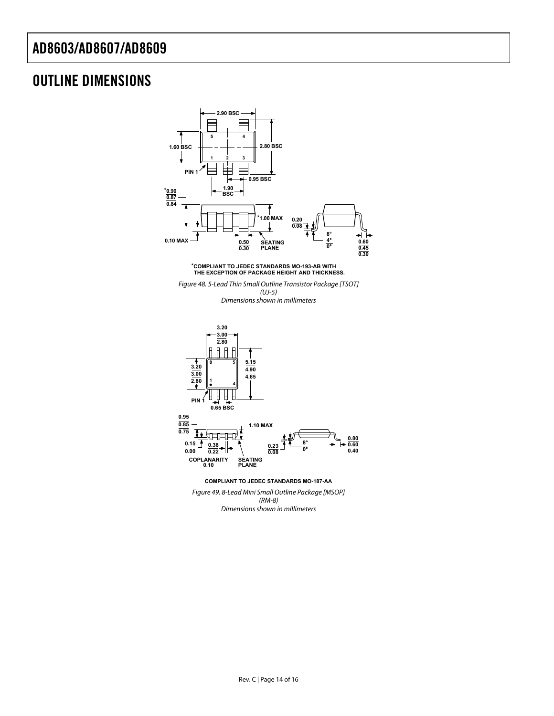# <span id="page-13-0"></span>OUTLINE DIMENSIONS

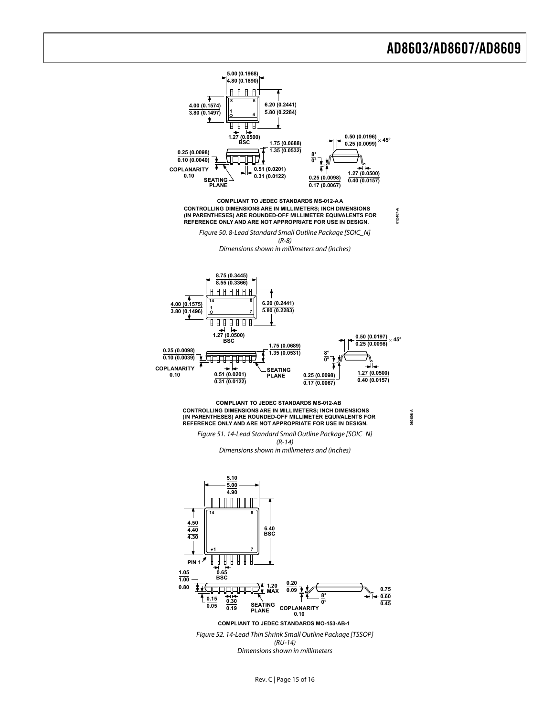

Rev. C | Page 15 of 16